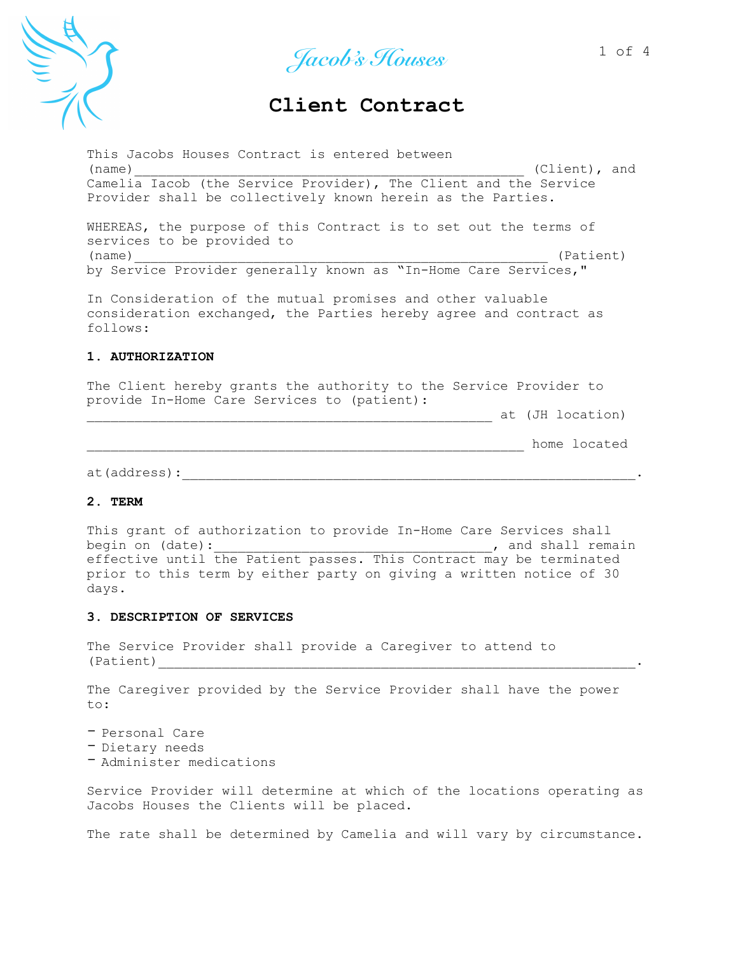

Jacob's Houses<sup>1 of 4</sup>

# **Client Contract .**

This Jacobs Houses Contract is entered between  $(\texttt{name})$  (name) Camelia Iacob (the Service Provider), The Client and the Service Provider shall be collectively known herein as the Parties. WHEREAS, the purpose of this Contract is to set out the terms of services to be provided to

(name) (Patient) by Service Provider generally known as "In-Home Care Services,"

In Consideration of the mutual promises and other valuable consideration exchanged, the Parties hereby agree and contract as follows:

## **1. AUTHORIZATION**

The Client hereby grants the authority to the Service Provider to provide In-Home Care Services to (patient):

\_\_\_\_\_\_\_\_\_\_\_\_\_\_\_\_\_\_\_\_\_\_\_\_\_\_\_\_\_\_\_\_\_\_\_\_\_\_\_\_\_\_\_\_\_\_\_\_\_\_\_ at (JH location)

\_\_\_\_\_\_\_\_\_\_\_\_\_\_\_\_\_\_\_\_\_\_\_\_\_\_\_\_\_\_\_\_\_\_\_\_\_\_\_\_\_\_\_\_\_\_\_\_\_\_\_\_\_\_\_ home located

at(address):\_\_\_\_\_\_\_\_\_\_\_\_\_\_\_\_\_\_\_\_\_\_\_\_\_\_\_\_\_\_\_\_\_\_\_\_\_\_\_\_\_\_\_\_\_\_\_\_\_\_\_\_\_\_\_\_\_.

#### **2. TERM**

This grant of authorization to provide In-Home Care Services shall begin on (date):  $\qquad \qquad$  , and shall remain effective until the Patient passes. This Contract may be terminated prior to this term by either party on giving a written notice of 30 days.

#### **3. DESCRIPTION OF SERVICES**

The Service Provider shall provide a Caregiver to attend to (Patient)\_\_\_\_\_\_\_\_\_\_\_\_\_\_\_\_\_\_\_\_\_\_\_\_\_\_\_\_\_\_\_\_\_\_\_\_\_\_\_\_\_\_\_\_\_\_\_\_\_\_\_\_\_\_\_\_\_\_\_\_.

The Caregiver provided by the Service Provider shall have the power to:

- Personal Care<br>- Dietary needs<br>- Administer medications

Service Provider will determine at which of the locations operating as Jacobs Houses the Clients will be placed.

The rate shall be determined by Camelia and will vary by circumstance.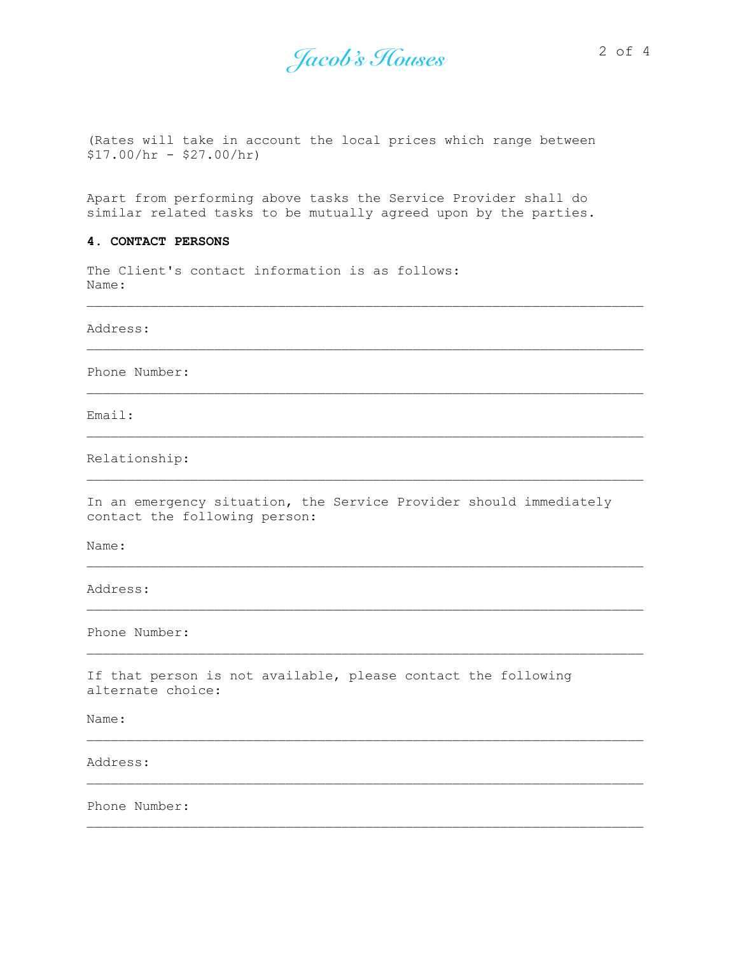Jacob's Houses 2 of 4

(Rates will take in account the local prices which range between  $$17.00/hr - $27.00/hr$ 

Apart from performing above tasks the Service Provider shall do similar related tasks to be mutually agreed upon by the parties.

## **4. CONTACT PERSONS**

The Client's contact information is as follows: Name:

Address:

Phone Number:

Email:

Relationship:

In an emergency situation, the Service Provider should immediately contact the following person:

Name:

Address:

Phone Number:

If that person is not available, please contact the following alternate choice:

Name:

Address:

Phone Number: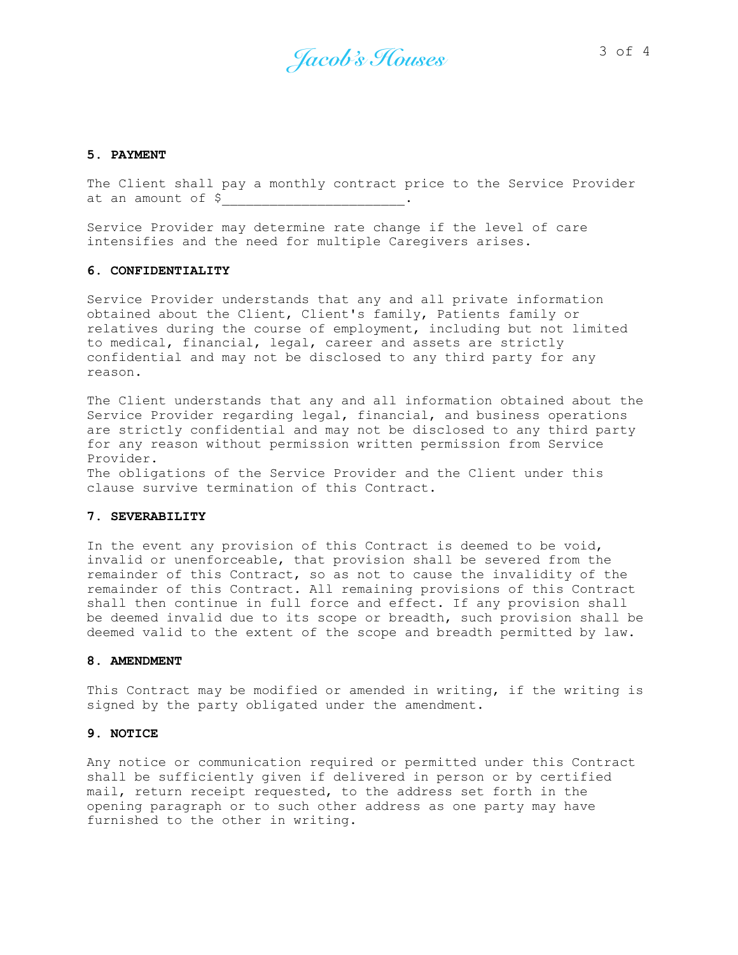Jacob's Houses<sup>3 of 4</sup>

#### **5. PAYMENT**

The Client shall pay a monthly contract price to the Service Provider at an amount of \$\_\_\_\_\_\_\_\_\_\_\_\_\_\_\_\_\_\_\_\_\_\_\_.

Service Provider may determine rate change if the level of care intensifies and the need for multiple Caregivers arises.

#### **6. CONFIDENTIALITY**

Service Provider understands that any and all private information obtained about the Client, Client's family, Patients family or relatives during the course of employment, including but not limited to medical, financial, legal, career and assets are strictly confidential and may not be disclosed to any third party for any reason.

The Client understands that any and all information obtained about the Service Provider regarding legal, financial, and business operations are strictly confidential and may not be disclosed to any third party for any reason without permission written permission from Service Provider.

The obligations of the Service Provider and the Client under this clause survive termination of this Contract.

## **7. SEVERABILITY**

In the event any provision of this Contract is deemed to be void, invalid or unenforceable, that provision shall be severed from the remainder of this Contract, so as not to cause the invalidity of the remainder of this Contract. All remaining provisions of this Contract shall then continue in full force and effect. If any provision shall be deemed invalid due to its scope or breadth, such provision shall be deemed valid to the extent of the scope and breadth permitted by law.

#### **8. AMENDMENT**

This Contract may be modified or amended in writing, if the writing is signed by the party obligated under the amendment.

#### **9. NOTICE**

Any notice or communication required or permitted under this Contract shall be sufficiently given if delivered in person or by certified mail, return receipt requested, to the address set forth in the opening paragraph or to such other address as one party may have furnished to the other in writing.